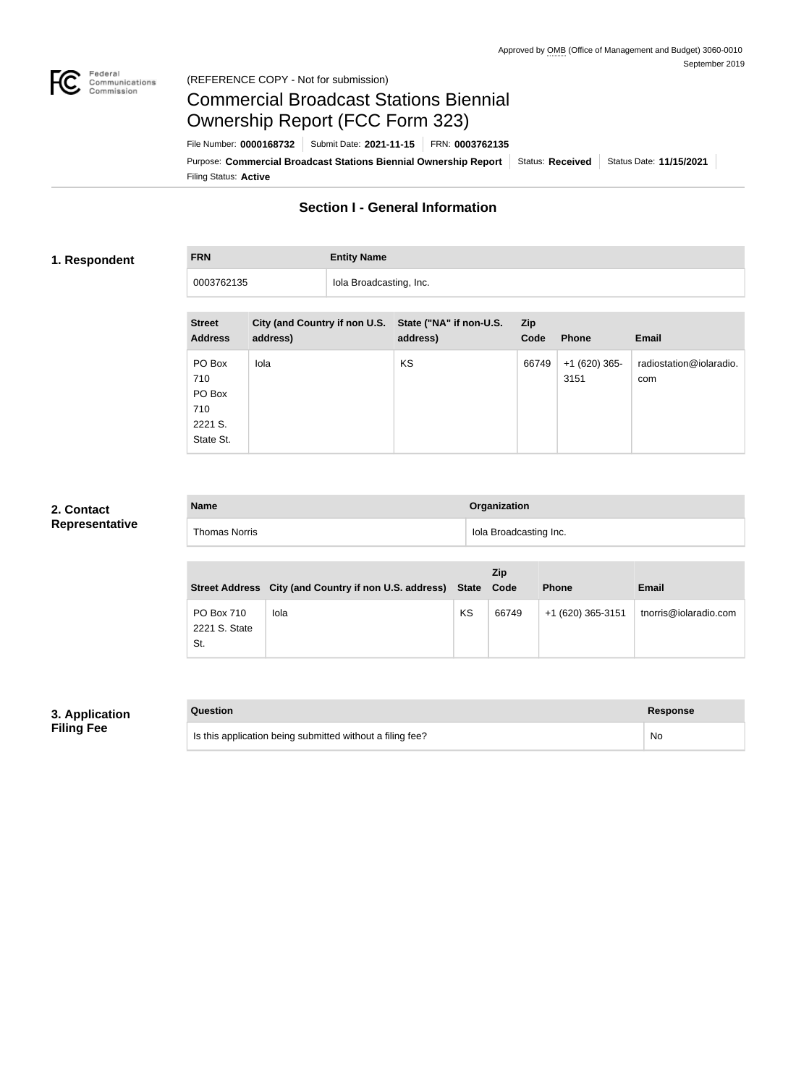

# Commercial Broadcast Stations Biennial Ownership Report (FCC Form 323)

Filing Status: **Active** Purpose: Commercial Broadcast Stations Biennial Ownership Report Status: Received Status Date: 11/15/2021 File Number: **0000168732** Submit Date: **2021-11-15** FRN: **0003762135**

# **Section I - General Information**

## **1. Respondent**

**FRN Entity Name** 0003762135 **Iola Broadcasting, Inc.** 

| <b>Street</b><br><b>Address</b>                        | City (and Country if non U.S. State ("NA" if non-U.S.<br>address) | address)  | <b>Zip</b><br>Code | <b>Phone</b>           | <b>Email</b>                   |
|--------------------------------------------------------|-------------------------------------------------------------------|-----------|--------------------|------------------------|--------------------------------|
| PO Box<br>710<br>PO Box<br>710<br>2221 S.<br>State St. | Iola                                                              | <b>KS</b> | 66749              | $+1(620)$ 365-<br>3151 | radiostation@iolaradio.<br>com |

## **2. Contact Representative**

| <b>Name</b>          | Organization           |  |
|----------------------|------------------------|--|
| <b>Thomas Norris</b> | Iola Broadcasting Inc. |  |

|                                    | Street Address City (and Country if non U.S. address) State |    | <b>Zip</b><br>Code | <b>Phone</b>      | <b>Email</b>          |
|------------------------------------|-------------------------------------------------------------|----|--------------------|-------------------|-----------------------|
| PO Box 710<br>2221 S. State<br>St. | Iola                                                        | KS | 66749              | +1 (620) 365-3151 | tnorris@iolaradio.com |

## **3. Application Filing Fee**

| Question                                                  | Response |
|-----------------------------------------------------------|----------|
| Is this application being submitted without a filing fee? | No       |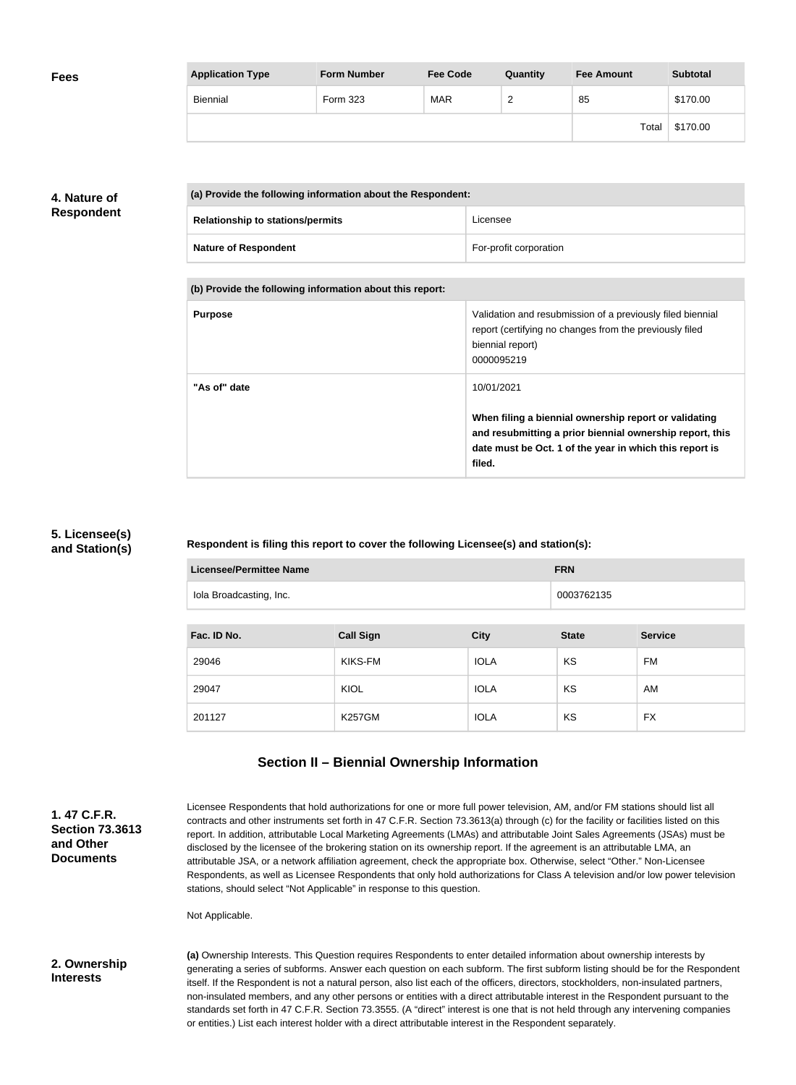| <b>Fees</b> | <b>Application Type</b> | <b>Form Number</b> | <b>Fee Code</b> | Quantity | <b>Fee Amount</b> | <b>Subtotal</b> |
|-------------|-------------------------|--------------------|-----------------|----------|-------------------|-----------------|
|             | Biennial                | Form 323           | <b>MAR</b>      | £<br>_   | 85                | \$170.00        |
|             |                         |                    |                 |          | Total             | \$170.00        |

## **4. Nature of Respondent**

| (a) Provide the following information about the Respondent: |                        |  |
|-------------------------------------------------------------|------------------------|--|
| <b>Relationship to stations/permits</b>                     | Licensee               |  |
| <b>Nature of Respondent</b>                                 | For-profit corporation |  |

**(b) Provide the following information about this report:**

| <b>Purpose</b> | Validation and resubmission of a previously filed biennial<br>report (certifying no changes from the previously filed<br>biennial report)<br>0000095219                                              |
|----------------|------------------------------------------------------------------------------------------------------------------------------------------------------------------------------------------------------|
| "As of" date   | 10/01/2021<br>When filing a biennial ownership report or validating<br>and resubmitting a prior biennial ownership report, this<br>date must be Oct. 1 of the year in which this report is<br>filed. |

## **5. Licensee(s) and Station(s)**

## **Respondent is filing this report to cover the following Licensee(s) and station(s):**

| <b>Licensee/Permittee Name</b><br><b>FRN</b> |                  |             |              |                |
|----------------------------------------------|------------------|-------------|--------------|----------------|
| Iola Broadcasting, Inc.                      | 0003762135       |             |              |                |
|                                              |                  |             |              |                |
| Fac. ID No.                                  | <b>Call Sign</b> | <b>City</b> | <b>State</b> | <b>Service</b> |
| 29046                                        | KIKS-FM          | <b>IOLA</b> | <b>KS</b>    | FM             |
| 29047                                        | <b>KIOL</b>      | <b>IOLA</b> | KS           | AM             |
| 201127                                       | <b>K257GM</b>    | <b>IOLA</b> | KS           | <b>FX</b>      |

# **Section II – Biennial Ownership Information**

| 1.47 C.F.R.<br><b>Section 73,3613</b><br>and Other<br><b>Documents</b> | Licensee Respondents that hold authorizations for one or more full power television, AM, and/or FM stations should list all<br>contracts and other instruments set forth in 47 C.F.R. Section 73.3613(a) through (c) for the facility or facilities listed on this<br>report. In addition, attributable Local Marketing Agreements (LMAs) and attributable Joint Sales Agreements (JSAs) must be<br>disclosed by the licensee of the brokering station on its ownership report. If the agreement is an attributable LMA, an<br>attributable JSA, or a network affiliation agreement, check the appropriate box. Otherwise, select "Other." Non-Licensee<br>Respondents, as well as Licensee Respondents that only hold authorizations for Class A television and/or low power television<br>stations, should select "Not Applicable" in response to this question. |
|------------------------------------------------------------------------|--------------------------------------------------------------------------------------------------------------------------------------------------------------------------------------------------------------------------------------------------------------------------------------------------------------------------------------------------------------------------------------------------------------------------------------------------------------------------------------------------------------------------------------------------------------------------------------------------------------------------------------------------------------------------------------------------------------------------------------------------------------------------------------------------------------------------------------------------------------------|
|                                                                        | Not Applicable.                                                                                                                                                                                                                                                                                                                                                                                                                                                                                                                                                                                                                                                                                                                                                                                                                                                    |
| 2. Ownership<br><b>Interests</b>                                       | (a) Ownership Interests. This Question requires Respondents to enter detailed information about ownership interests by<br>generating a series of subforms. Answer each question on each subform. The first subform listing should be for the Respondent<br>itself. If the Respondent is not a natural person, also list each of the officers, directors, stockholders, non-insulated partners,<br>non-insulated members, and any other persons or entities with a direct attributable interest in the Respondent pursuant to the<br>standards set forth in 47 C.F.R. Section 73.3555. (A "direct" interest is one that is not held through any intervening companies<br>or entities.) List each interest holder with a direct attributable interest in the Respondent separately.                                                                                  |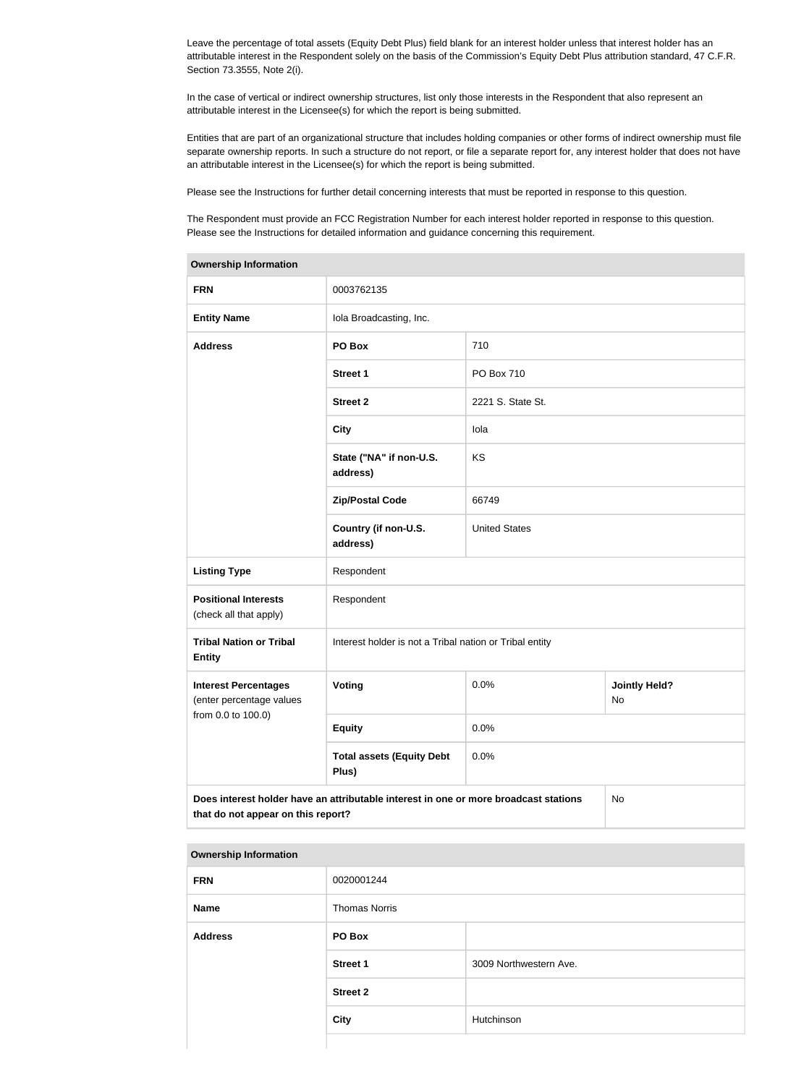Leave the percentage of total assets (Equity Debt Plus) field blank for an interest holder unless that interest holder has an attributable interest in the Respondent solely on the basis of the Commission's Equity Debt Plus attribution standard, 47 C.F.R. Section 73.3555, Note 2(i).

In the case of vertical or indirect ownership structures, list only those interests in the Respondent that also represent an attributable interest in the Licensee(s) for which the report is being submitted.

Entities that are part of an organizational structure that includes holding companies or other forms of indirect ownership must file separate ownership reports. In such a structure do not report, or file a separate report for, any interest holder that does not have an attributable interest in the Licensee(s) for which the report is being submitted.

Please see the Instructions for further detail concerning interests that must be reported in response to this question.

The Respondent must provide an FCC Registration Number for each interest holder reported in response to this question. Please see the Instructions for detailed information and guidance concerning this requirement.

| <b>Ownership Information</b>                                                                                                     |                                                         |                      |                            |  |
|----------------------------------------------------------------------------------------------------------------------------------|---------------------------------------------------------|----------------------|----------------------------|--|
| <b>FRN</b>                                                                                                                       | 0003762135                                              |                      |                            |  |
| <b>Entity Name</b>                                                                                                               | Iola Broadcasting, Inc.                                 |                      |                            |  |
| <b>Address</b>                                                                                                                   | PO Box                                                  | 710                  |                            |  |
|                                                                                                                                  | <b>Street 1</b>                                         | PO Box 710           |                            |  |
|                                                                                                                                  | <b>Street 2</b>                                         | 2221 S. State St.    |                            |  |
|                                                                                                                                  | <b>City</b>                                             | lola                 |                            |  |
|                                                                                                                                  | State ("NA" if non-U.S.<br>address)                     | KS                   |                            |  |
|                                                                                                                                  | <b>Zip/Postal Code</b>                                  | 66749                |                            |  |
|                                                                                                                                  | Country (if non-U.S.<br>address)                        | <b>United States</b> |                            |  |
| <b>Listing Type</b>                                                                                                              | Respondent                                              |                      |                            |  |
| <b>Positional Interests</b><br>(check all that apply)                                                                            | Respondent                                              |                      |                            |  |
| <b>Tribal Nation or Tribal</b><br><b>Entity</b>                                                                                  | Interest holder is not a Tribal nation or Tribal entity |                      |                            |  |
| <b>Interest Percentages</b><br>(enter percentage values                                                                          | Voting                                                  | 0.0%                 | <b>Jointly Held?</b><br>No |  |
| from 0.0 to 100.0)                                                                                                               | <b>Equity</b>                                           | 0.0%                 |                            |  |
|                                                                                                                                  | <b>Total assets (Equity Debt</b><br>Plus)               | 0.0%                 |                            |  |
| Does interest holder have an attributable interest in one or more broadcast stations<br>No<br>that do not appear on this report? |                                                         |                      |                            |  |

#### **Ownership Information**

| <b>FRN</b>     | 0020001244           |                        |  |
|----------------|----------------------|------------------------|--|
| <b>Name</b>    | <b>Thomas Norris</b> |                        |  |
| <b>Address</b> | PO Box               |                        |  |
|                | <b>Street 1</b>      | 3009 Northwestern Ave. |  |
|                | <b>Street 2</b>      |                        |  |
|                | <b>City</b>          | Hutchinson             |  |
|                |                      |                        |  |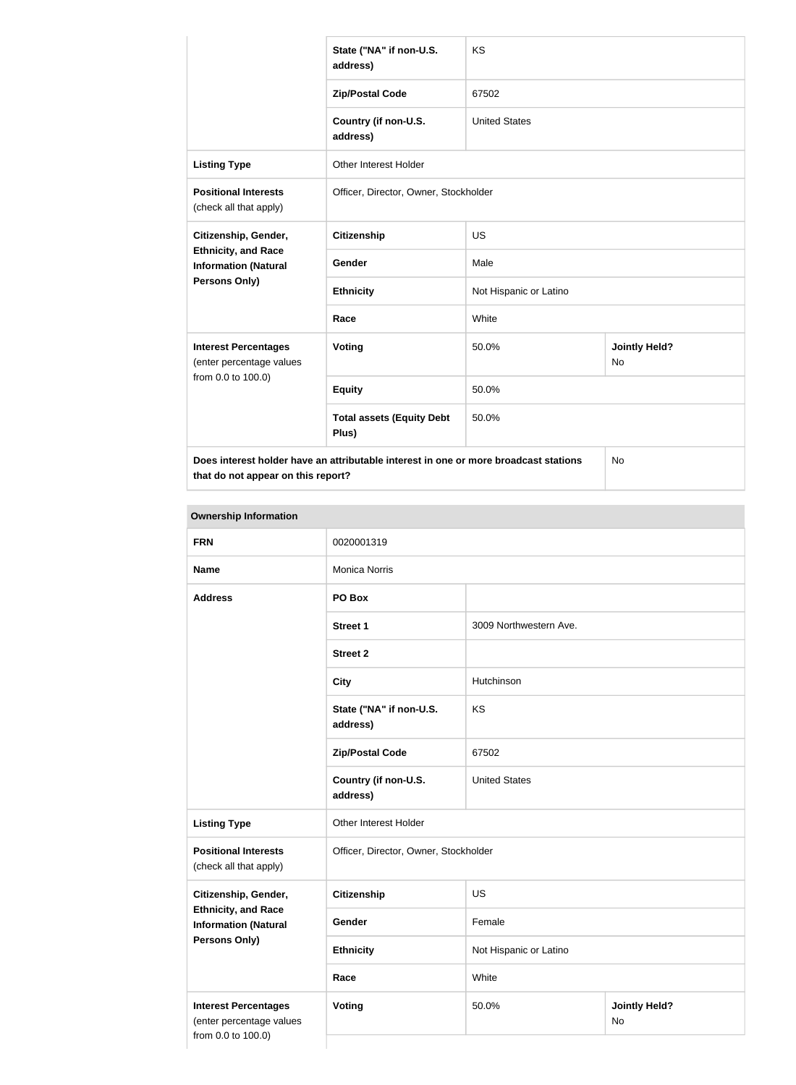|                                                                                            | State ("NA" if non-U.S.<br>address)       | <b>KS</b>              |                            |  |
|--------------------------------------------------------------------------------------------|-------------------------------------------|------------------------|----------------------------|--|
|                                                                                            | <b>Zip/Postal Code</b>                    | 67502                  |                            |  |
|                                                                                            | Country (if non-U.S.<br>address)          | <b>United States</b>   |                            |  |
| <b>Listing Type</b>                                                                        | <b>Other Interest Holder</b>              |                        |                            |  |
| <b>Positional Interests</b><br>(check all that apply)                                      | Officer, Director, Owner, Stockholder     |                        |                            |  |
| Citizenship, Gender,                                                                       | <b>Citizenship</b>                        | <b>US</b>              |                            |  |
| <b>Ethnicity, and Race</b><br><b>Information (Natural</b>                                  | Gender                                    | Male                   |                            |  |
| <b>Persons Only)</b>                                                                       | <b>Ethnicity</b>                          | Not Hispanic or Latino |                            |  |
|                                                                                            | Race                                      | White                  |                            |  |
| <b>Interest Percentages</b><br>(enter percentage values                                    | <b>Voting</b>                             | 50.0%                  | <b>Jointly Held?</b><br>No |  |
| from 0.0 to 100.0)                                                                         | <b>Equity</b>                             | 50.0%                  |                            |  |
|                                                                                            | <b>Total assets (Equity Debt</b><br>Plus) | 50.0%                  |                            |  |
| Does interest holder have an attributable interest in one or more broadcast stations<br>No |                                           |                        |                            |  |

**that do not appear on this report?**

**Ownership Information FRN** 0020001319 **Name** Monica Norris **Address PO Box Street 1** 3009 Northwestern Ave. **Street 2 City** Hutchinson **State ("NA" if non-U.S. address)** KS **Zip/Postal Code** 67502 **Country (if non-U.S. address)** United States **Listing Type Circuit** Other Interest Holder **Positional Interests** (check all that apply) Officer, Director, Owner, Stockholder **Citizenship, Gender, Ethnicity, and Race Information (Natural Persons Only) Citizenship** US Gender Female **Ethnicity** Not Hispanic or Latino **Race** White **Interest Percentages** (enter percentage values from 0.0 to 100.0) **Voting** 50.0% **Jointly Held?** No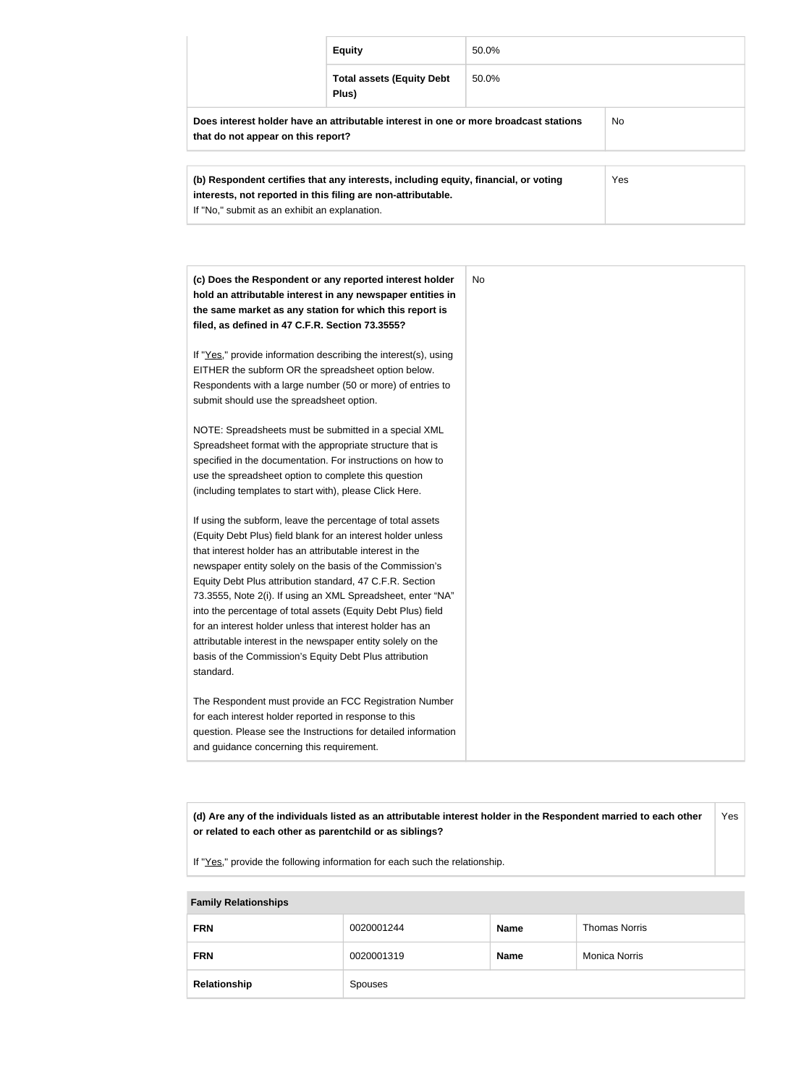|                                                                                                                                   | <b>Equity</b>                             | 50.0% |  |
|-----------------------------------------------------------------------------------------------------------------------------------|-------------------------------------------|-------|--|
|                                                                                                                                   | <b>Total assets (Equity Debt</b><br>Plus) | 50.0% |  |
| Does interest holder have an attributable interest in one or more broadcast stations<br>No.<br>that do not appear on this report? |                                           |       |  |
| (b) Respondent certifies that any interests, including equity, financial, or voting                                               | Yes                                       |       |  |

| (c) Does the Respondent or any reported interest holder         | No |
|-----------------------------------------------------------------|----|
| hold an attributable interest in any newspaper entities in      |    |
| the same market as any station for which this report is         |    |
| filed, as defined in 47 C.F.R. Section 73.3555?                 |    |
| If "Yes," provide information describing the interest(s), using |    |
| EITHER the subform OR the spreadsheet option below.             |    |
| Respondents with a large number (50 or more) of entries to      |    |
| submit should use the spreadsheet option.                       |    |
| NOTE: Spreadsheets must be submitted in a special XML           |    |
| Spreadsheet format with the appropriate structure that is       |    |
| specified in the documentation. For instructions on how to      |    |
| use the spreadsheet option to complete this question            |    |
| (including templates to start with), please Click Here.         |    |
| If using the subform, leave the percentage of total assets      |    |
| (Equity Debt Plus) field blank for an interest holder unless    |    |
| that interest holder has an attributable interest in the        |    |
| newspaper entity solely on the basis of the Commission's        |    |
| Equity Debt Plus attribution standard, 47 C.F.R. Section        |    |
| 73.3555, Note 2(i). If using an XML Spreadsheet, enter "NA"     |    |
| into the percentage of total assets (Equity Debt Plus) field    |    |
| for an interest holder unless that interest holder has an       |    |
| attributable interest in the newspaper entity solely on the     |    |
| basis of the Commission's Equity Debt Plus attribution          |    |
| standard.                                                       |    |
| The Respondent must provide an FCC Registration Number          |    |
| for each interest holder reported in response to this           |    |
| question. Please see the Instructions for detailed information  |    |
| and guidance concerning this requirement.                       |    |

**(d) Are any of the individuals listed as an attributable interest holder in the Respondent married to each other or related to each other as parentchild or as siblings?** Yes

If "Yes," provide the following information for each such the relationship.

**interests, not reported in this filing are non-attributable.**

If "No," submit as an exhibit an explanation.

| <b>Family Relationships</b> |            |             |                      |  |  |
|-----------------------------|------------|-------------|----------------------|--|--|
| <b>FRN</b>                  | 0020001244 | <b>Name</b> | <b>Thomas Norris</b> |  |  |
| <b>FRN</b>                  | 0020001319 | <b>Name</b> | <b>Monica Norris</b> |  |  |
| Relationship                | Spouses    |             |                      |  |  |